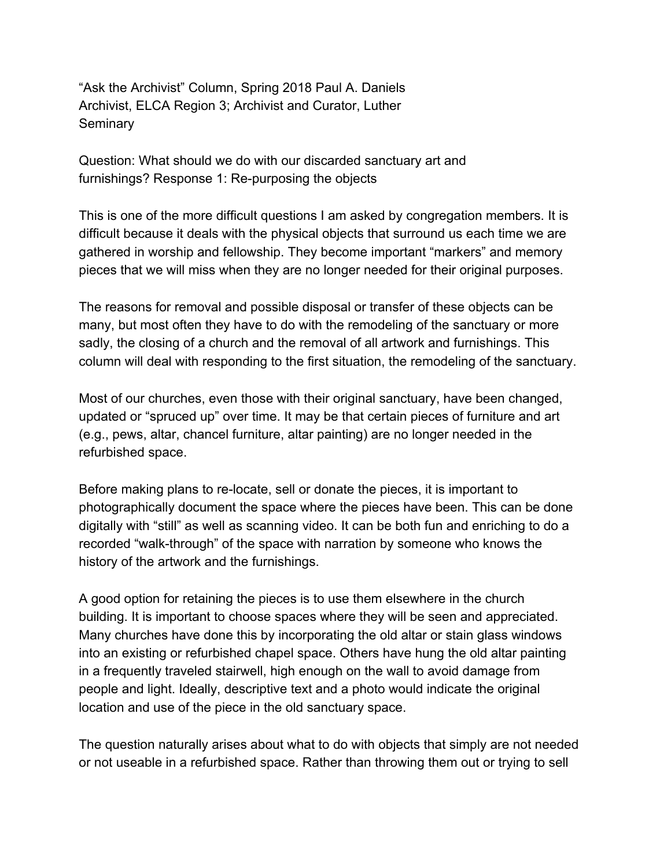"Ask the Archivist" Column, Spring 2018 Paul A. Daniels Archivist, ELCA Region 3; Archivist and Curator, Luther **Seminary** 

Question: What should we do with our discarded sanctuary art and furnishings? Response 1: Re-purposing the objects

This is one of the more difficult questions I am asked by congregation members. It is difficult because it deals with the physical objects that surround us each time we are gathered in worship and fellowship. They become important "markers" and memory pieces that we will miss when they are no longer needed for their original purposes.

The reasons for removal and possible disposal or transfer of these objects can be many, but most often they have to do with the remodeling of the sanctuary or more sadly, the closing of a church and the removal of all artwork and furnishings. This column will deal with responding to the first situation, the remodeling of the sanctuary.

Most of our churches, even those with their original sanctuary, have been changed, updated or "spruced up" over time. It may be that certain pieces of furniture and art (e.g., pews, altar, chancel furniture, altar painting) are no longer needed in the refurbished space.

Before making plans to re-locate, sell or donate the pieces, it is important to photographically document the space where the pieces have been. This can be done digitally with "still" as well as scanning video. It can be both fun and enriching to do a recorded "walk-through" of the space with narration by someone who knows the history of the artwork and the furnishings.

A good option for retaining the pieces is to use them elsewhere in the church building. It is important to choose spaces where they will be seen and appreciated. Many churches have done this by incorporating the old altar or stain glass windows into an existing or refurbished chapel space. Others have hung the old altar painting in a frequently traveled stairwell, high enough on the wall to avoid damage from people and light. Ideally, descriptive text and a photo would indicate the original location and use of the piece in the old sanctuary space.

The question naturally arises about what to do with objects that simply are not needed or not useable in a refurbished space. Rather than throwing them out or trying to sell